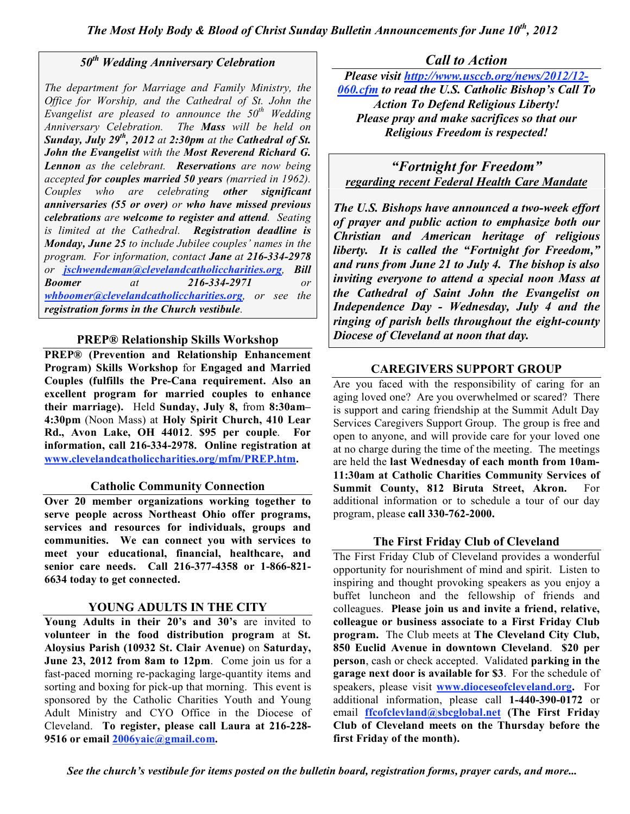# *50th Wedding Anniversary Celebration*

*The department for Marriage and Family Ministry, the Office for Worship, and the Cathedral of St. John the Evangelist are pleased to announce the 50th Wedding Anniversary Celebration. The Mass will be held on Sunday, July 29th , 2012 at 2:30pm at the Cathedral of St. John the Evangelist with the Most Reverend Richard G. Lennon as the celebrant. Reservations are now being accepted for couples married 50 years (married in 1962). Couples who are celebrating other significant anniversaries (55 or over) or who have missed previous celebrations are welcome to register and attend. Seating is limited at the Cathedral. Registration deadline is Monday, June 25 to include Jubilee couples' names in the program. For information, contact Jane at 216-334-2978 or jschwendeman@clevelandcatholiccharities.org, Bill Boomer at 216-334-2971 or whboomer@clevelandcatholiccharities.org, or see the registration forms in the Church vestibule.*

# **PREP® Relationship Skills Workshop**

**PREP® (Prevention and Relationship Enhancement Program) Skills Workshop** for **Engaged and Married Couples (fulfills the Pre-Cana requirement. Also an excellent program for married couples to enhance their marriage).** Held **Sunday, July 8,** from **8:30am– 4:30pm** (Noon Mass) at **Holy Spirit Church, 410 Lear Rd., Avon Lake, OH 44012**. **\$95 per couple**. **For information, call 216-334-2978. Online registration at www.clevelandcatholiccharities.org/mfm/PREP.htm.**

# **Catholic Community Connection**

**Over 20 member organizations working together to serve people across Northeast Ohio offer programs, services and resources for individuals, groups and communities. We can connect you with services to meet your educational, financial, healthcare, and senior care needs. Call 216-377-4358 or 1-866-821- 6634 today to get connected.**

# **YOUNG ADULTS IN THE CITY**

**Young Adults in their 20's and 30's** are invited to **volunteer in the food distribution program** at **St. Aloysius Parish (10932 St. Clair Avenue)** on **Saturday, June 23, 2012 from 8am to 12pm**. Come join us for a fast-paced morning re-packaging large-quantity items and sorting and boxing for pick-up that morning. This event is sponsored by the Catholic Charities Youth and Young Adult Ministry and CYO Office in the Diocese of Cleveland. **To register, please call Laura at 216-228- 9516 or email 2006yaic@gmail.com.**

# *Call to Action*

*Please visit http://www.usccb.org/news/2012/12- 060.cfm to read the U.S. Catholic Bishop's Call To Action To Defend Religious Liberty! Please pray and make sacrifices so that our Religious Freedom is respected!*

*"Fortnight for Freedom" regarding recent Federal Health Care Mandate*

*The U.S. Bishops have announced a two-week effort of prayer and public action to emphasize both our Christian and American heritage of religious liberty. It is called the "Fortnight for Freedom," and runs from June 21 to July 4. The bishop is also inviting everyone to attend a special noon Mass at the Cathedral of Saint John the Evangelist on Independence Day - Wednesday, July 4 and the ringing of parish bells throughout the eight-county Diocese of Cleveland at noon that day.*

# **CAREGIVERS SUPPORT GROUP**

Are you faced with the responsibility of caring for an aging loved one? Are you overwhelmed or scared? There is support and caring friendship at the Summit Adult Day Services Caregivers Support Group. The group is free and open to anyone, and will provide care for your loved one at no charge during the time of the meeting. The meetings are held the **last Wednesday of each month from 10am-11:30am at Catholic Charities Community Services of Summit County, 812 Biruta Street, Akron.** For additional information or to schedule a tour of our day program, please **call 330-762-2000.**

# **The First Friday Club of Cleveland**

The First Friday Club of Cleveland provides a wonderful opportunity for nourishment of mind and spirit. Listen to inspiring and thought provoking speakers as you enjoy a buffet luncheon and the fellowship of friends and colleagues. **Please join us and invite a friend, relative, colleague or business associate to a First Friday Club program.** The Club meets at **The Cleveland City Club, 850 Euclid Avenue in downtown Cleveland**. **\$20 per person**, cash or check accepted. Validated **parking in the garage next door is available for \$3**. For the schedule of speakers, please visit **www.dioceseofcleveland.org.** For additional information, please call **1-440-390-0172** or email **ffcofclevland@sbcglobal.net (The First Friday Club of Cleveland meets on the Thursday before the first Friday of the month).**

*See the church's vestibule for items posted on the bulletin board, registration forms, prayer cards, and more...*